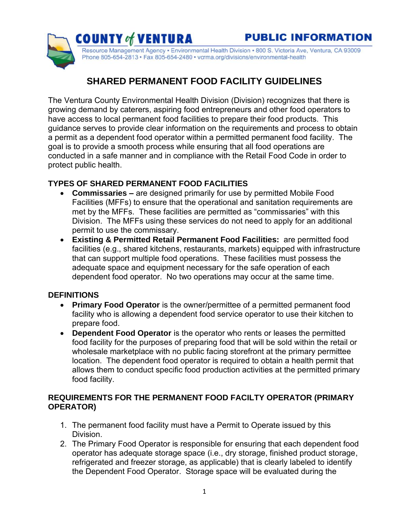Resource Management Agency • Environmental Health Division • 800 S. Victoria Ave, Ventura, CA 93009 Phone 805-654-2813 · Fax 805-654-2480 · vcrma.org/divisions/environmental-health

# **SHARED PERMANENT FOOD FACILITY GUIDELINES**

The Ventura County Environmental Health Division (Division) recognizes that there is growing demand by caterers, aspiring food entrepreneurs and other food operators to have access to local permanent food facilities to prepare their food products. This guidance serves to provide clear information on the requirements and process to obtain a permit as a dependent food operator within a permitted permanent food facility. The goal is to provide a smooth process while ensuring that all food operations are conducted in a safe manner and in compliance with the Retail Food Code in order to protect public health.

# **TYPES OF SHARED PERMANENT FOOD FACILITIES**

**COUNTY of VENTURA** 

- **Commissaries –** are designed primarily for use by permitted Mobile Food Facilities (MFFs) to ensure that the operational and sanitation requirements are met by the MFFs. These facilities are permitted as "commissaries" with this Division. The MFFs using these services do not need to apply for an additional permit to use the commissary.
- **Existing & Permitted Retail Permanent Food Facilities:** are permitted food facilities (e.g., shared kitchens, restaurants, markets) equipped with infrastructure that can support multiple food operations. These facilities must possess the adequate space and equipment necessary for the safe operation of each dependent food operator. No two operations may occur at the same time.

# **DEFINITIONS**

- **Primary Food Operator** is the owner/permittee of a permitted permanent food facility who is allowing a dependent food service operator to use their kitchen to prepare food.
- **Dependent Food Operator** is the operator who rents or leases the permitted food facility for the purposes of preparing food that will be sold within the retail or wholesale marketplace with no public facing storefront at the primary permittee location. The dependent food operator is required to obtain a health permit that allows them to conduct specific food production activities at the permitted primary food facility.

# **REQUIREMENTS FOR THE PERMANENT FOOD FACILTY OPERATOR (PRIMARY OPERATOR)**

- 1. The permanent food facility must have a Permit to Operate issued by this Division.
- 2. The Primary Food Operator is responsible for ensuring that each dependent food operator has adequate storage space (i.e., dry storage, finished product storage, refrigerated and freezer storage, as applicable) that is clearly labeled to identify the Dependent Food Operator. Storage space will be evaluated during the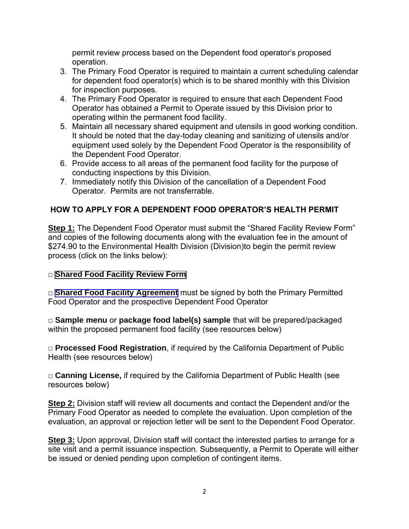permit review process based on the Dependent food operator's proposed operation.

- 3. The Primary Food Operator is required to maintain a current scheduling calendar for dependent food operator(s) which is to be shared monthly with this Division for inspection purposes.
- 4. The Primary Food Operator is required to ensure that each Dependent Food Operator has obtained a Permit to Operate issued by this Division prior to operating within the permanent food facility.
- 5. Maintain all necessary shared equipment and utensils in good working condition. It should be noted that the day-today cleaning and sanitizing of utensils and/or equipment used solely by the Dependent Food Operator is the responsibility of the Dependent Food Operator.
- 6. Provide access to all areas of the permanent food facility for the purpose of conducting inspections by this Division.
- 7. Immediately notify this Division of the cancellation of a Dependent Food Operator. Permits are not transferrable.

# **HOW TO APPLY FOR A DEPENDENT FOOD OPERATOR'S HEALTH PERMIT**

**Step 1:** The Dependent Food Operator must submit the "Shared Facility Review Form" and copies of the following documents along with the evaluation fee in the amount of \$274.90 to the Environmental Health Division (Division) to begin the permit review process (click on the links below):

#### □ **[Shared Food Facility Review Form](#page-8-0)**

□ **Shared Food Facility Agreement** must be signed by both the Primary Permitted Food Operator and the prospective Dependent Food Operator

□ **Sample menu** or **package food label(s) sample** that will be prepared/packaged within the proposed permanent food facility (see resources below)

□ **Processed Food Registration**, if required by the California Department of Public Health (see resources below)

□ **Canning License,** if required by the California Department of Public Health (see resources below)

**Step 2:** Division staff will review all documents and contact the Dependent and/or the Primary Food Operator as needed to complete the evaluation. Upon completion of the evaluation, an approval or rejection letter will be sent to the Dependent Food Operator.

**Step 3:** Upon approval, Division staff will contact the interested parties to arrange for a site visit and a permit issuance inspection. Subsequently, a Permit to Operate will either be issued or denied pending upon completion of contingent items.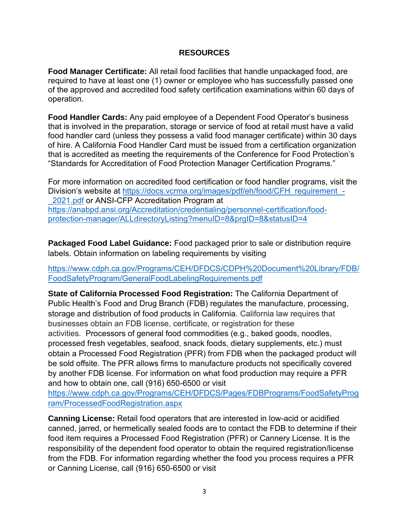#### **RESOURCES**

**Food Manager Certificate:** All retail food facilities that handle unpackaged food, are required to have at least one (1) owner or employee who has successfully passed one of the approved and accredited food safety certification examinations within 60 days of operation.

**Food Handler Cards:** Any paid employee of a Dependent Food Operator's business that is involved in the preparation, storage or service of food at retail must have a valid food handler card (unless they possess a valid food manager certificate) within 30 days of hire. A California Food Handler Card must be issued from a certification organization that is accredited as meeting the requirements of the Conference for Food Protection's "Standards for Accreditation of Food Protection Manager Certification Programs."

For more information on accredited food certification or food handler programs, visit the Division's website at https://docs.vcrma.org/images/pdf/eh/food/CFH\_requirement -2021.pdf or ANSI-CFP Accreditation Program at [https://anabpd.ansi.org/Accreditation/credentialing/personnel-certification/food](https://anabpd.ansi.org/Accreditation/credentialing/personnel-certification/food-protection-manager/ALLdirectoryListing?menuID=8&prgID=8&statusID=4)[protection-manager/ALLdirectoryListing?menuID=8&prgID=8&statusID=4](https://anabpd.ansi.org/Accreditation/credentialing/personnel-certification/food-protection-manager/ALLdirectoryListing?menuID=8&prgID=8&statusID=4)

**Packaged Food Label Guidance:** Food packaged prior to sale or distribution require labels. Obtain information on labeling requirements by visiting

[https://www.cdph.ca.gov/Programs/CEH/DFDCS/CDPH%20Document%20Library/FDB/](https://www.cdph.ca.gov/Programs/CEH/DFDCS/CDPH%20Document%20Library/FDB/FoodSafetyProgram/GeneralFoodLabelingRequirements.pdf) [FoodSafetyProgram/GeneralFoodLabelingRequirements.pdf](https://www.cdph.ca.gov/Programs/CEH/DFDCS/CDPH%20Document%20Library/FDB/FoodSafetyProgram/GeneralFoodLabelingRequirements.pdf)

**State of California Processed Food Registration:** The California Department of Public Health's Food and Drug Branch (FDB) regulates the manufacture, processing, storage and distribution of food products in California. California law requires that businesses obtain an FDB license, certificate, or registration for these activities. Processors of general food commodities (e.g., baked goods, noodles, processed fresh vegetables, seafood, snack foods, dietary supplements, etc.) must obtain a Processed Food Registration (PFR) from FDB when the packaged product will be sold offsite. The PFR allows firms to manufacture products not specifically covered by another FDB license. For information on what food production may require a PFR and how to obtain one, call (916) 650-6500 or visit

[https://www.cdph.ca.gov/Programs/CEH/DFDCS/Pages/FDBPrograms/FoodSafetyProg](https://www.cdph.ca.gov/Programs/CEH/DFDCS/Pages/FDBPrograms/FoodSafetyProgram/ProcessedFoodRegistration.aspx) [ram/ProcessedFoodRegistration.aspx](https://www.cdph.ca.gov/Programs/CEH/DFDCS/Pages/FDBPrograms/FoodSafetyProgram/ProcessedFoodRegistration.aspx)

**Canning License:** Retail food operators that are interested in low-acid or acidified canned, jarred, or hermetically sealed foods are to contact the FDB to determine if their food item requires a Processed Food Registration (PFR) or Cannery License. It is the responsibility of the dependent food operator to obtain the required registration/license from the FDB. For information regarding whether the food you process requires a PFR or Canning License, call (916) 650-6500 or visit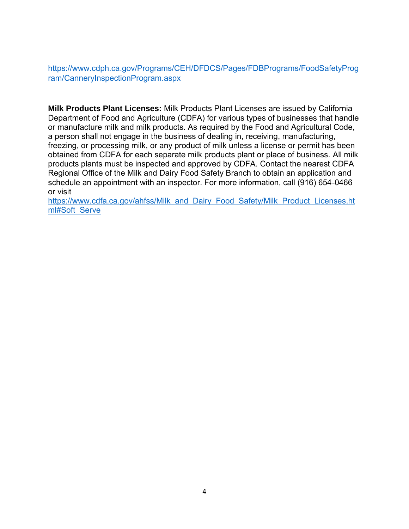[https://www.cdph.ca.gov/Programs/CEH/DFDCS/Pages/FDBPrograms/FoodSafetyProg](https://www.cdph.ca.gov/Programs/CEH/DFDCS/Pages/FDBPrograms/FoodSafetyProgram/CanneryInspectionProgram.aspx) [ram/CanneryInspectionProgram.aspx](https://www.cdph.ca.gov/Programs/CEH/DFDCS/Pages/FDBPrograms/FoodSafetyProgram/CanneryInspectionProgram.aspx)

**Milk Products Plant Licenses:** Milk Products Plant Licenses are issued by California Department of Food and Agriculture (CDFA) for various types of businesses that handle or manufacture milk and milk products. As required by the Food and Agricultural Code, a person shall not engage in the business of dealing in, receiving, manufacturing, freezing, or processing milk, or any product of milk unless a license or permit has been obtained from CDFA for each separate milk products plant or place of business. All milk products plants must be inspected and approved by CDFA. Contact the nearest CDFA Regional Office of the Milk and Dairy Food Safety Branch to obtain an application and schedule an appointment with an inspector. For more information, call (916) 654-0466 or visit

[https://www.cdfa.ca.gov/ahfss/Milk\\_and\\_Dairy\\_Food\\_Safety/Milk\\_Product\\_Licenses.ht](https://www.cdfa.ca.gov/ahfss/Milk_and_Dairy_Food_Safety/Milk_Product_Licenses.html#Soft_Serve) [ml#Soft\\_Serve](https://www.cdfa.ca.gov/ahfss/Milk_and_Dairy_Food_Safety/Milk_Product_Licenses.html#Soft_Serve)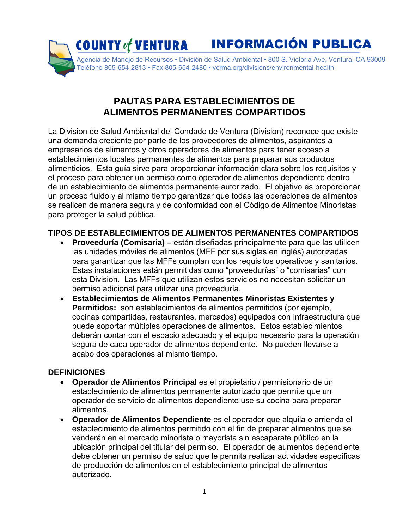

# **PAUTAS PARA ESTABLECIMIENTOS DE ALIMENTOS PERMANENTES COMPARTIDOS**

La Division de Salud Ambiental del Condado de Ventura (Division) reconoce que existe una demanda creciente por parte de los proveedores de alimentos, aspirantes a empresarios de alimentos y otros operadores de alimentos para tener acceso a establecimientos locales permanentes de alimentos para preparar sus productos alimenticios. Esta guía sirve para proporcionar información clara sobre los requisitos y el proceso para obtener un permiso como operador de alimentos dependiente dentro de un establecimiento de alimentos permanente autorizado. El objetivo es proporcionar un proceso fluido y al mismo tiempo garantizar que todas las operaciones de alimentos se realicen de manera segura y de conformidad con el Código de Alimentos Minoristas para proteger la salud pública.

### **TIPOS DE ESTABLECIMIENTOS DE ALIMENTOS PERMANENTES COMPARTIDOS**

- **Proveeduría (Comisaria) –** están diseñadas principalmente para que las utilicen las unidades móviles de alimentos (MFF por sus siglas en inglés) autorizadas para garantizar que las MFFs cumplan con los requisitos operativos y sanitarios. Estas instalaciones están permitidas como "proveedurías" o "comisarias" con esta Division. Las MFFs que utilizan estos servicios no necesitan solicitar un permiso adicional para utilizar una proveeduría.
- **Establecimientos de Alimentos Permanentes Minoristas Existentes y Permitidos:** son establecimientos de alimentos permitidos (por ejemplo, cocinas compartidas, restaurantes, mercados) equipados con infraestructura que puede soportar múltiples operaciones de alimentos. Estos establecimientos deberán contar con el espacio adecuado y el equipo necesario para la operación segura de cada operador de alimentos dependiente. No pueden llevarse a acabo dos operaciones al mismo tiempo.

#### **DEFINICIONES**

- **Operador de Alimentos Principal** es el propietario / permisionario de un establecimiento de alimentos permanente autorizado que permite que un operador de servicio de alimentos dependiente use su cocina para preparar alimentos.
- **Operador de Alimentos Dependiente** es el operador que alquila o arrienda el establecimiento de alimentos permitido con el fin de preparar alimentos que se venderán en el mercado minorista o mayorista sin escaparate público en la ubicación principal del titular del permiso. El operador de aumentos dependiente debe obtener un permiso de salud que le permita realizar actividades específicas de producción de alimentos en el establecimiento principal de alimentos autorizado.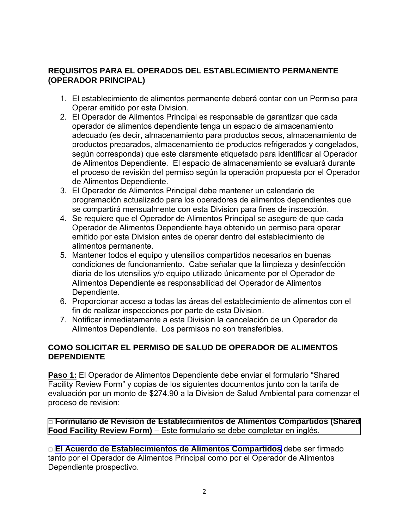#### **REQUISITOS PARA EL OPERADOS DEL ESTABLECIMIENTO PERMANENTE (OPERADOR PRINCIPAL)**

- 1. El establecimiento de alimentos permanente deberá contar con un Permiso para Operar emitido por esta Division.
- 2. El Operador de Alimentos Principal es responsable de garantizar que cada operador de alimentos dependiente tenga un espacio de almacenamiento adecuado (es decir, almacenamiento para productos secos, almacenamiento de productos preparados, almacenamiento de productos refrigerados y congelados, según corresponda) que este claramente etiquetado para identificar al Operador de Alimentos Dependiente. El espacio de almacenamiento se evaluará durante el proceso de revisión del permiso según la operación propuesta por el Operador de Alimentos Dependiente.
- 3. El Operador de Alimentos Principal debe mantener un calendario de programación actualizado para los operadores de alimentos dependientes que se compartirá mensualmente con esta Division para fines de inspección.
- 4. Se requiere que el Operador de Alimentos Principal se asegure de que cada Operador de Alimentos Dependiente haya obtenido un permiso para operar emitido por esta Division antes de operar dentro del establecimiento de alimentos permanente.
- 5. Mantener todos el equipo y utensilios compartidos necesarios en buenas condiciones de funcionamiento. Cabe señalar que la limpieza y desinfección diaria de los utensilios y/o equipo utilizado únicamente por el Operador de Alimentos Dependiente es responsabilidad del Operador de Alimentos Dependiente.
- 6. Proporcionar acceso a todas las áreas del establecimiento de alimentos con el fin de realizar inspecciones por parte de esta Division.
- 7. Notificar inmediatamente a esta Division la cancelación de un Operador de Alimentos Dependiente. Los permisos no son transferibles.

#### **COMO SOLICITAR EL PERMISO DE SALUD DE OPERADOR DE ALIMENTOS DEPENDIENTE**

**Paso 1:** El Operador de Alimentos Dependiente debe enviar el formulario "Shared Facility Review Form" y copias de los siguientes documentos junto con la tarifa de evaluación por un monto de \$274.90 a la Division de Salud Ambiental para comenzar el proceso de revision:

□ **[Formulario de Revision de Establecimientos de Alimentos](#page-8-0) Compartidos (Shared Food Facility Review Form)** – Este formulario se debe completar en inglés.

□ **El Acuerdo de [Establecimientos de Alimentos Compartidos](#page-12-0)** debe ser firmado tanto por el Operador de Alimentos Principal como por el Operador de Alimentos Dependiente prospectivo.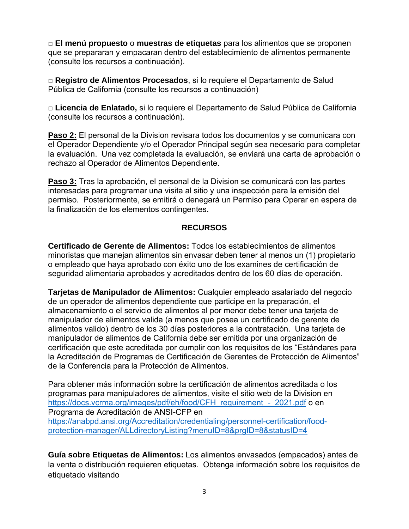□ **El menú propuesto** o **muestras de etiquetas** para los alimentos que se proponen que se prepararan y empacaran dentro del establecimiento de alimentos permanente (consulte los recursos a continuación).

□ **Registro de Alimentos Procesados**, si lo requiere el Departamento de Salud Pública de California (consulte los recursos a continuación)

□ **Licencia de Enlatado,** si lo requiere el Departamento de Salud Pública de California (consulte los recursos a continuación).

**Paso 2:** El personal de la Division revisara todos los documentos y se comunicara con el Operador Dependiente y/o el Operador Principal según sea necesario para completar la evaluación. Una vez completada la evaluación, se enviará una carta de aprobación o rechazo al Operador de Alimentos Dependiente.

**Paso 3:** Tras la aprobación, el personal de la Division se comunicará con las partes interesadas para programar una visita al sitio y una inspección para la emisión del permiso. Posteriormente, se emitirá o denegará un Permiso para Operar en espera de la finalización de los elementos contingentes.

#### **RECURSOS**

**Certificado de Gerente de Alimentos:** Todos los establecimientos de alimentos minoristas que manejan alimentos sin envasar deben tener al menos un (1) propietario o empleado que haya aprobado con éxito uno de los examines de certificación de seguridad alimentaria aprobados y acreditados dentro de los 60 días de operación.

**Tarjetas de Manipulador de Alimentos:** Cualquier empleado asalariado del negocio de un operador de alimentos dependiente que participe en la preparación, el almacenamiento o el servicio de alimentos al por menor debe tener una tarjeta de manipulador de alimentos valida (a menos que posea un certificado de gerente de alimentos valido) dentro de los 30 días posteriores a la contratación. Una tarjeta de manipulador de alimentos de California debe ser emitida por una organización de certificación que este acreditada por cumplir con los requisitos de los "Estándares para la Acreditación de Programas de Certificación de Gerentes de Protección de Alimentos" de la Conferencia para la Protección de Alimentos.

Para obtener más información sobre la certificación de alimentos acreditada o los programas para manipuladores de alimentos, visite el sitio web de la Division en https://docs.vcrma.org/images/pdf/eh/food/CFH\_requirement - 2021.pdf o en Programa de Acreditación de ANSI-CFP en [https://anabpd.ansi.org/Accreditation/credentialing/personnel-certification/food](https://anabpd.ansi.org/Accreditation/credentialing/personnel-certification/food-protection-manager/ALLdirectoryListing?menuID=8&prgID=8&statusID=4)[protection-manager/ALLdirectoryListing?menuID=8&prgID=8&statusID=4](https://anabpd.ansi.org/Accreditation/credentialing/personnel-certification/food-protection-manager/ALLdirectoryListing?menuID=8&prgID=8&statusID=4)

**Guía sobre Etiquetas de Alimentos:** Los alimentos envasados (empacados) antes de la venta o distribución requieren etiquetas. Obtenga información sobre los requisitos de etiquetado visitando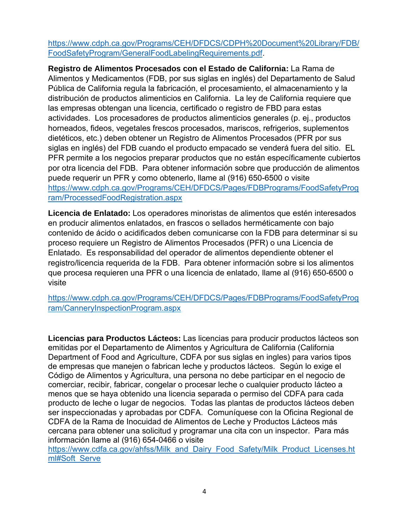[https://www.cdph.ca.gov/Programs/CEH/DFDCS/CDPH%20Document%20Library/FDB/](https://www.cdph.ca.gov/Programs/CEH/DFDCS/CDPH%20Document%20Library/FDB/FoodSafetyProgram/GeneralFoodLabelingRequirements.pdf) [FoodSafetyProgram/GeneralFoodLabelingRequirements.pdf.](https://www.cdph.ca.gov/Programs/CEH/DFDCS/CDPH%20Document%20Library/FDB/FoodSafetyProgram/GeneralFoodLabelingRequirements.pdf)

**Registro de Alimentos Procesados con el Estado de California:** La Rama de Alimentos y Medicamentos (FDB, por sus siglas en inglés) del Departamento de Salud Pública de California regula la fabricación, el procesamiento, el almacenamiento y la distribución de productos alimenticios en California. La ley de California requiere que las empresas obtengan una licencia, certificado o registro de FBD para estas actividades. Los procesadores de productos alimenticios generales (p. ej., productos horneados, fideos, vegetales frescos procesados, mariscos, refrigerios, suplementos dietéticos, etc.) deben obtener un Registro de Alimentos Procesados (PFR por sus siglas en inglés) del FDB cuando el producto empacado se venderá fuera del sitio. EL PFR permite a los negocios preparar productos que no están específicamente cubiertos por otra licencia del FDB. Para obtener información sobre que producción de alimentos puede requerir un PFR y como obtenerlo, llame al (916) 650-6500 o visite [https://www.cdph.ca.gov/Programs/CEH/DFDCS/Pages/FDBPrograms/FoodSafetyProg](https://www.cdph.ca.gov/Programs/CEH/DFDCS/Pages/FDBPrograms/FoodSafetyProgram/ProcessedFoodRegistration.aspx) [ram/ProcessedFoodRegistration.aspx](https://www.cdph.ca.gov/Programs/CEH/DFDCS/Pages/FDBPrograms/FoodSafetyProgram/ProcessedFoodRegistration.aspx)

**Licencia de Enlatado:** Los operadores minoristas de alimentos que estén interesados en producir alimentos enlatados, en frascos o sellados herméticamente con bajo contenido de ácido o acidificados deben comunicarse con la FDB para determinar si su proceso requiere un Registro de Alimentos Procesados (PFR) o una Licencia de Enlatado. Es responsabilidad del operador de alimentos dependiente obtener el registro/licencia requerida de la FDB. Para obtener información sobre si los alimentos que procesa requieren una PFR o una licencia de enlatado, llame al (916) 650-6500 o visite

[https://www.cdph.ca.gov/Programs/CEH/DFDCS/Pages/FDBPrograms/FoodSafetyProg](https://www.cdph.ca.gov/Programs/CEH/DFDCS/Pages/FDBPrograms/FoodSafetyProgram/CanneryInspectionProgram.aspx) [ram/CanneryInspectionProgram.aspx](https://www.cdph.ca.gov/Programs/CEH/DFDCS/Pages/FDBPrograms/FoodSafetyProgram/CanneryInspectionProgram.aspx)

**Licencias para Productos Lácteos:** Las licencias para producir productos lácteos son emitidas por el Departamento de Alimentos y Agricultura de California (California Department of Food and Agriculture, CDFA por sus siglas en ingles) para varios tipos de empresas que manejen o fabrican leche y productos lácteos. Según lo exige el Código de Alimentos y Agricultura, una persona no debe participar en el negocio de comerciar, recibir, fabricar, congelar o procesar leche o cualquier producto lácteo a menos que se haya obtenido una licencia separada o permiso del CDFA para cada producto de leche o lugar de negocios. Todas las plantas de productos lácteos deben ser inspeccionadas y aprobadas por CDFA. Comuníquese con la Oficina Regional de CDFA de la Rama de Inocuidad de Alimentos de Leche y Productos Lácteos más cercana para obtener una solicitud y programar una cita con un inspector. Para más información llame al (916) 654-0466 o visite

[https://www.cdfa.ca.gov/ahfss/Milk\\_and\\_Dairy\\_Food\\_Safety/Milk\\_Product\\_Licenses.ht](https://www.cdfa.ca.gov/ahfss/Milk_and_Dairy_Food_Safety/Milk_Product_Licenses.html#Soft_Serve) [ml#Soft\\_Serve](https://www.cdfa.ca.gov/ahfss/Milk_and_Dairy_Food_Safety/Milk_Product_Licenses.html#Soft_Serve)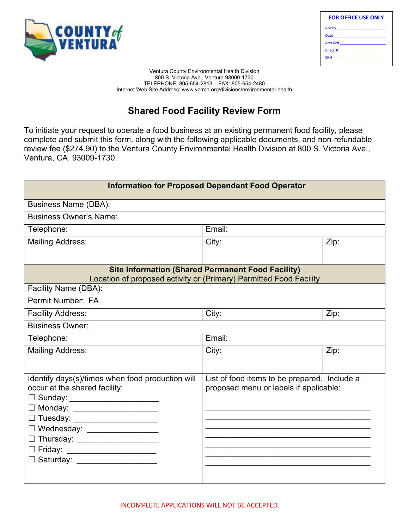<span id="page-8-0"></span>

| <b>FOR OFFICE USE ONLY</b>     |  |  |  |
|--------------------------------|--|--|--|
|                                |  |  |  |
| Date <u>__________________</u> |  |  |  |
| Amt Rcd _______________        |  |  |  |
|                                |  |  |  |
| $SR#$ $\qquad \qquad$          |  |  |  |
|                                |  |  |  |

Ventura County Environmental Health Division 800 S. Victoria Ave., Ventura 93009-1730 TELEPHONE: 805-654-2813 FAX: 805-654-2480 Internet Web Site Address: www.vcrma.org/divisions/environmental-health

# **Shared Food Facility Review Form**

To initiate your request to operate a food business at an existing permanent food facility, please complete and submit this form, along with the following applicable documents, and non-refundable review fee (\$274.90) to the Ventura County Environmental Health Division at 800 S. Victoria Ave., Ventura, CA 93009-1730.

| <b>Information for Proposed Dependent Food Operator</b>                                                                                                                                                                                                                                                                                         |                                                                                                                                |      |
|-------------------------------------------------------------------------------------------------------------------------------------------------------------------------------------------------------------------------------------------------------------------------------------------------------------------------------------------------|--------------------------------------------------------------------------------------------------------------------------------|------|
| <b>Business Name (DBA):</b>                                                                                                                                                                                                                                                                                                                     |                                                                                                                                |      |
| <b>Business Owner's Name:</b>                                                                                                                                                                                                                                                                                                                   |                                                                                                                                |      |
| Telephone:                                                                                                                                                                                                                                                                                                                                      | Email:                                                                                                                         |      |
| <b>Mailing Address:</b>                                                                                                                                                                                                                                                                                                                         | City:                                                                                                                          | Zip: |
|                                                                                                                                                                                                                                                                                                                                                 | <b>Site Information (Shared Permanent Food Facility)</b><br>Location of proposed activity or (Primary) Permitted Food Facility |      |
| Facility Name (DBA):                                                                                                                                                                                                                                                                                                                            |                                                                                                                                |      |
| Permit Number: FA                                                                                                                                                                                                                                                                                                                               |                                                                                                                                |      |
| <b>Facility Address:</b>                                                                                                                                                                                                                                                                                                                        | City:                                                                                                                          | Zip: |
| <b>Business Owner:</b>                                                                                                                                                                                                                                                                                                                          |                                                                                                                                |      |
| Telephone:                                                                                                                                                                                                                                                                                                                                      | Email:                                                                                                                         |      |
| <b>Mailing Address:</b>                                                                                                                                                                                                                                                                                                                         | City:                                                                                                                          | Zip: |
| Identify days(s)/times when food production will<br>occur at the shared facility:<br>□ Sunday: ________________________<br>□ Monday: ______________________<br>□ Tuesday: ______________________<br>□ Wednesday: _________________<br>□ Thursday: _____________________<br>□ Friday: ______________________<br>□ Saturday: ____________________ | List of food items to be prepared. Include a<br>proposed menu or labels if applicable:                                         |      |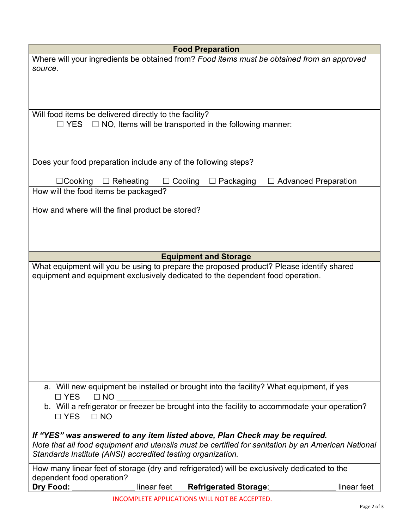| <b>Food Preparation</b>                                                                                            |             |  |  |
|--------------------------------------------------------------------------------------------------------------------|-------------|--|--|
| Where will your ingredients be obtained from? Food items must be obtained from an approved<br>source.              |             |  |  |
|                                                                                                                    |             |  |  |
|                                                                                                                    |             |  |  |
|                                                                                                                    |             |  |  |
| Will food items be delivered directly to the facility?                                                             |             |  |  |
| $\Box$ NO, Items will be transported in the following manner:<br>$\square$ YES                                     |             |  |  |
|                                                                                                                    |             |  |  |
|                                                                                                                    |             |  |  |
| Does your food preparation include any of the following steps?                                                     |             |  |  |
| $\Box$ Cooking<br>$\Box$ Reheating<br>Cooling<br>Packaging<br><b>Advanced Preparation</b>                          |             |  |  |
| How will the food items be packaged?                                                                               |             |  |  |
| How and where will the final product be stored?                                                                    |             |  |  |
|                                                                                                                    |             |  |  |
|                                                                                                                    |             |  |  |
|                                                                                                                    |             |  |  |
| <b>Equipment and Storage</b>                                                                                       |             |  |  |
| What equipment will you be using to prepare the proposed product? Please identify shared                           |             |  |  |
| equipment and equipment exclusively dedicated to the dependent food operation.                                     |             |  |  |
|                                                                                                                    |             |  |  |
|                                                                                                                    |             |  |  |
|                                                                                                                    |             |  |  |
|                                                                                                                    |             |  |  |
|                                                                                                                    |             |  |  |
|                                                                                                                    |             |  |  |
|                                                                                                                    |             |  |  |
|                                                                                                                    |             |  |  |
| a. Will new equipment be installed or brought into the facility? What equipment, if yes<br>$\Box$ YES<br>$\Box$ NO |             |  |  |
| b. Will a refrigerator or freezer be brought into the facility to accommodate your operation?                      |             |  |  |
| $\Box$ YES<br>$\Box$ NO                                                                                            |             |  |  |
| If "YES" was answered to any item listed above, Plan Check may be required.                                        |             |  |  |
| Note that all food equipment and utensils must be certified for sanitation by an American National                 |             |  |  |
| Standards Institute (ANSI) accredited testing organization.                                                        |             |  |  |
| How many linear feet of storage (dry and refrigerated) will be exclusively dedicated to the                        |             |  |  |
| dependent food operation?                                                                                          |             |  |  |
| Dry Food:<br>linear feet<br><b>Refrigerated Storage:</b>                                                           | linear feet |  |  |
| INCOMPLETE APPLICATIONS WILL NOT BE ACCEPTED.                                                                      | Page 2 of 3 |  |  |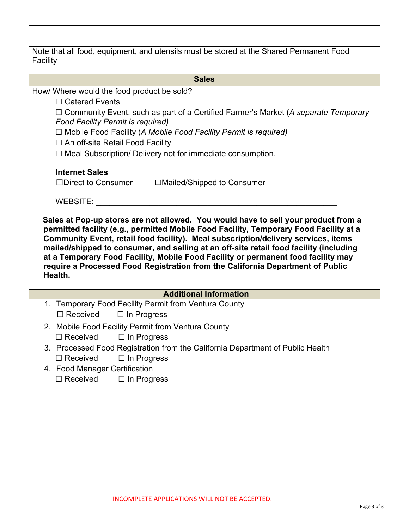| Note that all food, equipment, and utensils must be stored at the Shared Permanent Food<br>Facility                                                                                                                                                                                                                                                                                                                                                                                                                                            |
|------------------------------------------------------------------------------------------------------------------------------------------------------------------------------------------------------------------------------------------------------------------------------------------------------------------------------------------------------------------------------------------------------------------------------------------------------------------------------------------------------------------------------------------------|
| <b>Sales</b>                                                                                                                                                                                                                                                                                                                                                                                                                                                                                                                                   |
| How/ Where would the food product be sold?                                                                                                                                                                                                                                                                                                                                                                                                                                                                                                     |
| $\Box$ Catered Events                                                                                                                                                                                                                                                                                                                                                                                                                                                                                                                          |
| □ Community Event, such as part of a Certified Farmer's Market (A separate Temporary<br><b>Food Facility Permit is required)</b>                                                                                                                                                                                                                                                                                                                                                                                                               |
| $\Box$ Mobile Food Facility (A Mobile Food Facility Permit is required)                                                                                                                                                                                                                                                                                                                                                                                                                                                                        |
| □ An off-site Retail Food Facility                                                                                                                                                                                                                                                                                                                                                                                                                                                                                                             |
| □ Meal Subscription/ Delivery not for immediate consumption.                                                                                                                                                                                                                                                                                                                                                                                                                                                                                   |
| <b>Internet Sales</b>                                                                                                                                                                                                                                                                                                                                                                                                                                                                                                                          |
| $\Box$ Direct to Consumer<br>□Mailed/Shipped to Consumer                                                                                                                                                                                                                                                                                                                                                                                                                                                                                       |
| WEBSITE:                                                                                                                                                                                                                                                                                                                                                                                                                                                                                                                                       |
| Sales at Pop-up stores are not allowed. You would have to sell your product from a<br>permitted facility (e.g., permitted Mobile Food Facility, Temporary Food Facility at a<br>Community Event, retail food facility). Meal subscription/delivery services, items<br>mailed/shipped to consumer, and selling at an off-site retail food facility (including<br>at a Temporary Food Facility, Mobile Food Facility or permanent food facility may<br>require a Processed Food Registration from the California Department of Public<br>Health. |
| <b>Additional Information</b>                                                                                                                                                                                                                                                                                                                                                                                                                                                                                                                  |
| 1. Temporary Food Facility Permit from Ventura County                                                                                                                                                                                                                                                                                                                                                                                                                                                                                          |
| $\square$ Received<br>$\Box$ In Progress                                                                                                                                                                                                                                                                                                                                                                                                                                                                                                       |
| 2. Mobile Food Facility Permit from Ventura County                                                                                                                                                                                                                                                                                                                                                                                                                                                                                             |
| □ Received □ In Progress                                                                                                                                                                                                                                                                                                                                                                                                                                                                                                                       |
| 3. Processed Food Registration from the California Department of Public Health                                                                                                                                                                                                                                                                                                                                                                                                                                                                 |
| $\Box$ Received<br>$\Box$ In Progress                                                                                                                                                                                                                                                                                                                                                                                                                                                                                                          |
| 4. Food Manager Certification                                                                                                                                                                                                                                                                                                                                                                                                                                                                                                                  |
| $\Box$ Received<br>$\Box$ In Progress                                                                                                                                                                                                                                                                                                                                                                                                                                                                                                          |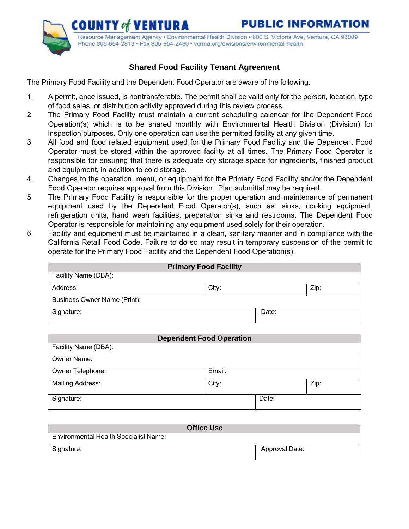<span id="page-11-0"></span>

Resource Management Agency · Environmental Health Division · 800 S. Victoria Ave, Ventura, CA 93009 Phone 805-654-2813 · Fax 805-654-2480 · vcrma.org/divisions/environmental-health

# **Shared Food Facility Tenant Agreement**

The Primary Food Facility and the Dependent Food Operator are aware of the following:

- 1. A permit, once issued, is nontransferable. The permit shall be valid only for the person, location, type of food sales, or distribution activity approved during this review process.
- 2. The Primary Food Facility must maintain a current scheduling calendar for the Dependent Food Operation(s) which is to be shared monthly with Environmental Health Division (Division) for inspection purposes. Only one operation can use the permitted facility at any given time.
- 3. All food and food related equipment used for the Primary Food Facility and the Dependent Food Operator must be stored within the approved facility at all times. The Primary Food Operator is responsible for ensuring that there is adequate dry storage space for ingredients, finished product and equipment, in addition to cold storage.
- 4. Changes to the operation, menu, or equipment for the Primary Food Facility and/or the Dependent Food Operator requires approval from this Division. Plan submittal may be required.
- 5. The Primary Food Facility is responsible for the proper operation and maintenance of permanent equipment used by the Dependent Food Operator(s), such as: sinks, cooking equipment, refrigeration units, hand wash facilities, preparation sinks and restrooms. The Dependent Food Operator is responsible for maintaining any equipment used solely for their operation.
- 6. Facility and equipment must be maintained in a clean, sanitary manner and in compliance with the California Retail Food Code. Failure to do so may result in temporary suspension of the permit to operate for the Primary Food Facility and the Dependent Food Operation(s).

| <b>Primary Food Facility</b> |       |       |      |
|------------------------------|-------|-------|------|
| Facility Name (DBA):         |       |       |      |
| Address:                     | City: |       | Zip: |
| Business Owner Name (Print): |       |       |      |
| Signature:                   |       | Date: |      |

| <b>Dependent Food Operation</b> |        |       |      |
|---------------------------------|--------|-------|------|
| Facility Name (DBA):            |        |       |      |
| <b>Owner Name:</b>              |        |       |      |
| Owner Telephone:                | Email: |       |      |
| <b>Mailing Address:</b>         | City:  |       | Zip: |
| Signature:                      |        | Date: |      |

| <b>Office Use</b>                            |                |  |
|----------------------------------------------|----------------|--|
| <b>Environmental Health Specialist Name:</b> |                |  |
| Signature:                                   | Approval Date: |  |